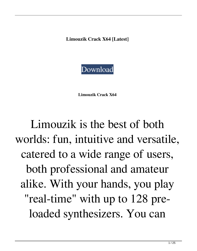**Limouzik Crack X64 [Latest]**



**Limouzik Crack X64**

Limouzik is the best of both worlds: fun, intuitive and versatile, catered to a wide range of users, both professional and amateur alike. With your hands, you play "real-time" with up to 128 preloaded synthesizers. You can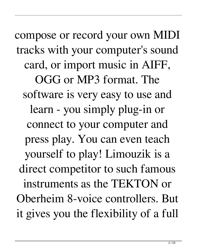compose or record your own MIDI tracks with your computer's sound card, or import music in AIFF, OGG or MP3 format. The software is very easy to use and learn - you simply plug-in or connect to your computer and press play. You can even teach yourself to play! Limouzik is a direct competitor to such famous instruments as the TEKTON or Oberheim 8-voice controllers. But it gives you the flexibility of a full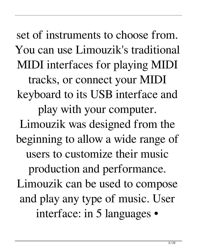set of instruments to choose from. You can use Limouzik's traditional MIDI interfaces for playing MIDI tracks, or connect your MIDI keyboard to its USB interface and play with your computer. Limouzik was designed from the beginning to allow a wide range of users to customize their music production and performance. Limouzik can be used to compose and play any type of music. User interface: in 5 languages •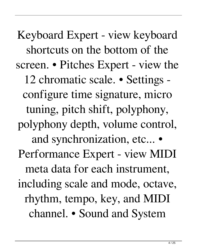Keyboard Expert - view keyboard shortcuts on the bottom of the screen. • Pitches Expert - view the 12 chromatic scale. • Settings configure time signature, micro tuning, pitch shift, polyphony, polyphony depth, volume control, and synchronization, etc... • Performance Expert - view MIDI meta data for each instrument, including scale and mode, octave, rhythm, tempo, key, and MIDI channel. • Sound and System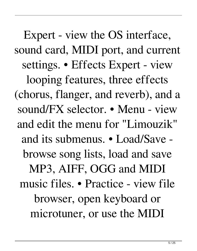Expert - view the OS interface, sound card, MIDI port, and current settings. • Effects Expert - view looping features, three effects (chorus, flanger, and reverb), and a sound/FX selector. • Menu - view and edit the menu for "Limouzik" and its submenus. • Load/Save browse song lists, load and save MP3, AIFF, OGG and MIDI music files. • Practice - view file browser, open keyboard or microtuner, or use the MIDI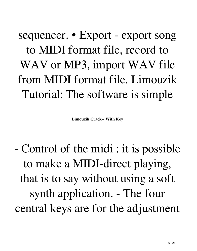sequencer. • Export - export song to MIDI format file, record to WAV or MP3, import WAV file from MIDI format file. Limouzik Tutorial: The software is simple

**Limouzik Crack+ With Key**

- Control of the midi : it is possible to make a MIDI-direct playing, that is to say without using a soft synth application. - The four central keys are for the adjustment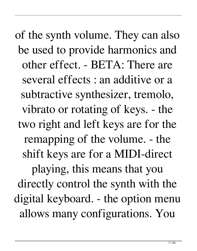of the synth volume. They can also be used to provide harmonics and other effect. - BETA: There are several effects : an additive or a subtractive synthesizer, tremolo, vibrato or rotating of keys. - the two right and left keys are for the remapping of the volume. - the shift keys are for a MIDI-direct playing, this means that you directly control the synth with the digital keyboard. - the option menu allows many configurations. You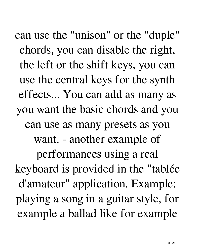can use the "unison" or the "duple" chords, you can disable the right, the left or the shift keys, you can use the central keys for the synth effects... You can add as many as you want the basic chords and you can use as many presets as you want. - another example of performances using a real keyboard is provided in the "tablée d'amateur" application. Example: playing a song in a guitar style, for example a ballad like for example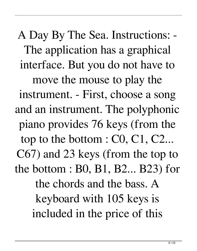A Day By The Sea. Instructions: - The application has a graphical interface. But you do not have to move the mouse to play the instrument. - First, choose a song and an instrument. The polyphonic piano provides 76 keys (from the top to the bottom : C0, C1, C2... C67) and 23 keys (from the top to the bottom : B0, B1, B2... B23) for the chords and the bass. A keyboard with 105 keys is included in the price of this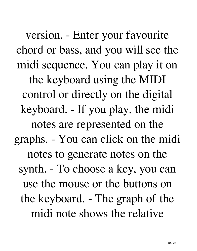version. - Enter your favourite chord or bass, and you will see the midi sequence. You can play it on the keyboard using the MIDI control or directly on the digital keyboard. - If you play, the midi notes are represented on the graphs. - You can click on the midi notes to generate notes on the synth. - To choose a key, you can use the mouse or the buttons on the keyboard. - The graph of the midi note shows the relative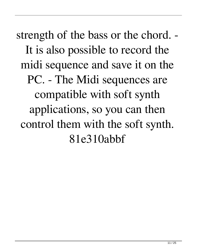strength of the bass or the chord. - It is also possible to record the midi sequence and save it on the PC. - The Midi sequences are compatible with soft synth applications, so you can then control them with the soft synth. 81e310abbf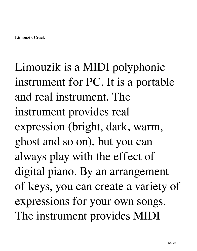## Limouzik is a MIDI polyphonic instrument for PC. It is a portable and real instrument. The instrument provides real expression (bright, dark, warm, ghost and so on), but you can always play with the effect of digital piano. By an arrangement of keys, you can create a variety of expressions for your own songs. The instrument provides MIDI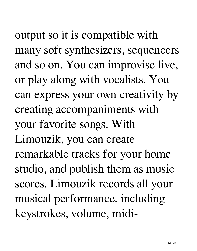output so it is compatible with many soft synthesizers, sequencers and so on. You can improvise live, or play along with vocalists. You can express your own creativity by creating accompaniments with your favorite songs. With Limouzik, you can create remarkable tracks for your home studio, and publish them as music scores. Limouzik records all your musical performance, including keystrokes, volume, midi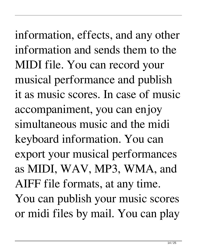information, effects, and any other information and sends them to the MIDI file. You can record your musical performance and publish it as music scores. In case of music accompaniment, you can enjoy simultaneous music and the midi keyboard information. You can export your musical performances as MIDI, WAV, MP3, WMA, and AIFF file formats, at any time. You can publish your music scores or midi files by mail. You can play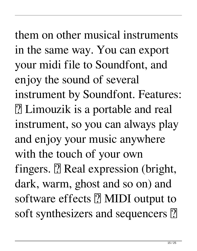them on other musical instruments in the same way. You can export your midi file to Soundfont, and enjoy the sound of several instrument by Soundfont. Features: ■ Limouzik is a portable and real instrument, so you can always play and enjoy your music anywhere with the touch of your own fingers.  $[$ ] Real expression (bright, dark, warm, ghost and so on) and software effects  $[$  MIDI output to soft synthesizers and sequencers  $[$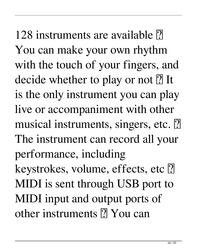128 instruments are available  $\vert$ ? You can make your own rhythm with the touch of your fingers, and decide whether to play or not  $[$ ] It is the only instrument you can play live or accompaniment with other musical instruments, singers, etc. 2 The instrument can record all your performance, including keystrokes, volume, effects, etc ? MIDI is sent through USB port to MIDI input and output ports of other instruments ? You can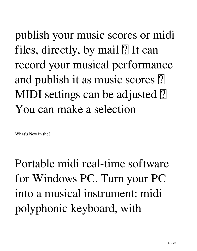publish your music scores or midi files, directly, by mail  $[$ ] It can record your musical performance and publish it as music scores **?** MIDI settings can be adjusted <sup>[2]</sup> You can make a selection

**What's New in the?**

Portable midi real-time software for Windows PC. Turn your PC into a musical instrument: midi polyphonic keyboard, with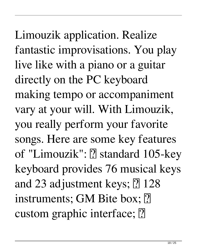Limouzik application. Realize fantastic improvisations. You play live like with a piano or a guitar directly on the PC keyboard making tempo or accompaniment vary at your will. With Limouzik, you really perform your favorite songs. Here are some key features of "Limouzik": <a>[?]</a> standard 105-key keyboard provides 76 musical keys and 23 adjustment keys;  $[$ ] 128 instruments; GM Bite box; [2] custom graphic interface;  $[$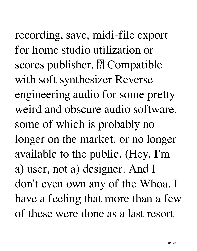recording, save, midi-file export for home studio utilization or scores publisher.  $[$ ? Compatible with soft synthesizer Reverse engineering audio for some pretty weird and obscure audio software, some of which is probably no longer on the market, or no longer available to the public. (Hey, I'm a) user, not a) designer. And I don't even own any of the Whoa. I have a feeling that more than a few of these were done as a last resort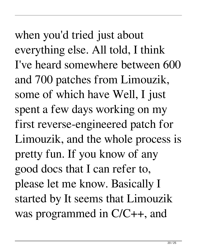when you'd tried just about everything else. All told, I think I've heard somewhere between 600 and 700 patches from Limouzik, some of which have Well, I just spent a few days working on my first reverse-engineered patch for Limouzik, and the whole process is pretty fun. If you know of any good docs that I can refer to, please let me know. Basically I started by It seems that Limouzik was programmed in C/C++, and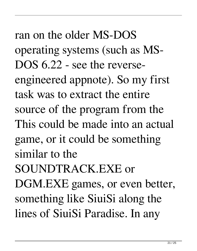ran on the older MS-DOS operating systems (such as MS-DOS 6.22 - see the reverseengineered appnote). So my first task was to extract the entire source of the program from the This could be made into an actual game, or it could be something similar to the SOUNDTRACK.EXE or DGM.EXE games, or even better, something like SiuiSi along the lines of SiuiSi Paradise. In any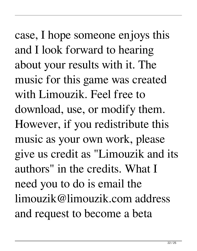case, I hope someone enjoys this and I look forward to hearing about your results with it. The music for this game was created with Limouzik. Feel free to download, use, or modify them. However, if you redistribute this music as your own work, please give us credit as "Limouzik and its authors" in the credits. What I need you to do is email the limouzik@limouzik.com address and request to become a beta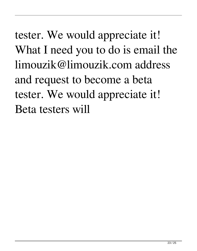tester. We would appreciate it! What I need you to do is email the limouzik@limouzik.com address and request to become a beta tester. We would appreciate it! Beta testers will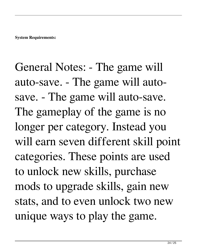General Notes: - The game will auto-save. - The game will autosave. - The game will auto-save. The gameplay of the game is no longer per category. Instead you will earn seven different skill point categories. These points are used to unlock new skills, purchase mods to upgrade skills, gain new stats, and to even unlock two new unique ways to play the game.